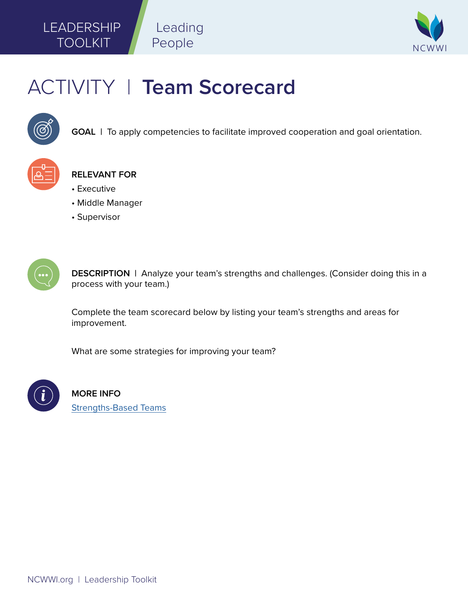## LEADERSHIP TOOLKIT



# ACTIVITY | **Team Scorecard**

Leading

People



**GOAL** | To apply competencies to facilitate improved cooperation and goal orientation.



**RELEVANT FOR**

- Executive
- Middle Manager
- Supervisor



**DESCRIPTION |** Analyze your team's strengths and challenges. (Consider doing this in a process with your team.)

Complete the team scorecard below by listing your team's strengths and areas for improvement.

What are some strategies for improving your team?



**MORE INFO**  [Strengths-Based Teams](http://courses.ncwwi.org/course/view.php?id=82)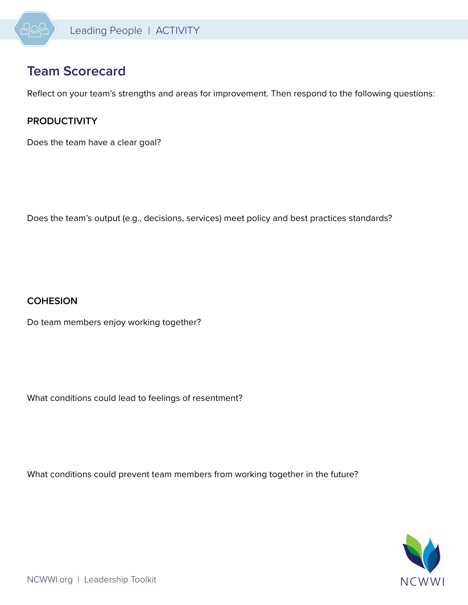

## **Team Scorecard**

Reflect on your team's strengths and areas for improvement. Then respond to the following questions:

### **PRODUCTIVITY**

Does the team have a clear goal?

Does the team's output (e.g., decisions, services) meet policy and best practices standards?

#### **COHESION**

Do team members enjoy working together?

What conditions could lead to feelings of resentment?

What conditions could prevent team members from working together in the future?

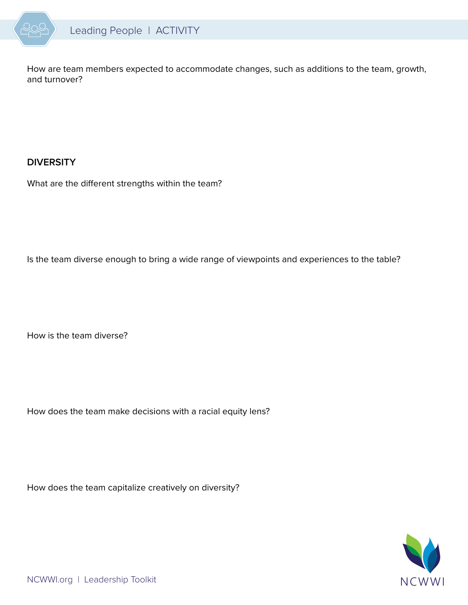

How are team members expected to accommodate changes, such as additions to the team, growth, and turnover?

#### **DIVERSITY**

What are the different strengths within the team?

Is the team diverse enough to bring a wide range of viewpoints and experiences to the table?

How is the team diverse?

How does the team make decisions with a racial equity lens?

How does the team capitalize creatively on diversity?

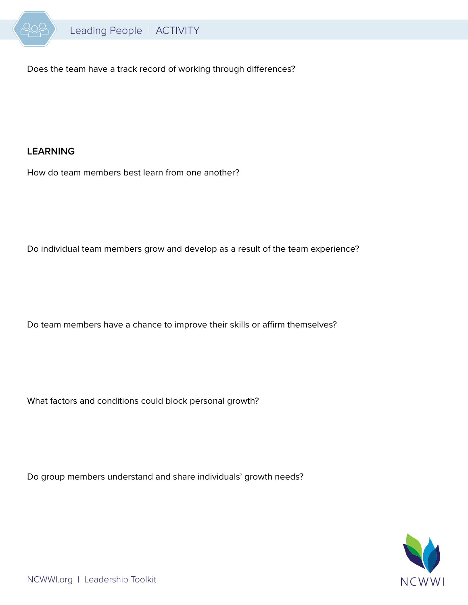

Does the team have a track record of working through differences?

#### **LEARNING**

How do team members best learn from one another?

Do individual team members grow and develop as a result of the team experience?

Do team members have a chance to improve their skills or affirm themselves?

What factors and conditions could block personal growth?

Do group members understand and share individuals' growth needs?